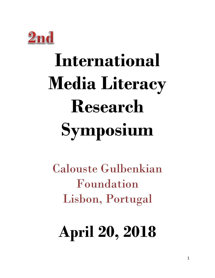

# **International Media Literacy Research Symposium**

Calouste Gulbenkian Foundation Lisbon, Portugal

# **April 20, 2018**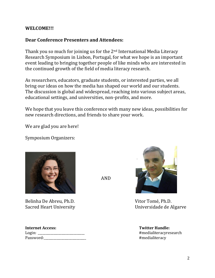# **WELCOME!!!**

# **Dear Conference Presenters and Attendees:**

Thank you so much for joining us for the 2nd International Media Literacy Research Symposium in Lisbon, Portugal, for what we hope is an important event leading to bringing together people of like minds who are interested in the continued growth of the field of media literacy research.

As researchers, educators, graduate students, or interested parties, we all bring our ideas on how the media has shaped our world and our students. The discussion is global and widespread, reaching into various subject areas, educational settings, and universities, non-profits, and more.

We hope that you leave this conference with many new ideas, possibilities for new research directions, and friends to share your work.

We are glad you are here!

Symposium Organizers:



Belinha De Abreu, Ph.D. Vitor Tomé, Ph.D.

| Internet Access: |  |
|------------------|--|
| Login: _         |  |
| Password:        |  |

AND



Sacred Heart University **Example 20 Secret Algary** Universidade de Algarye

**Twitter Handle:** #medialiteracyresearch #medialiteracy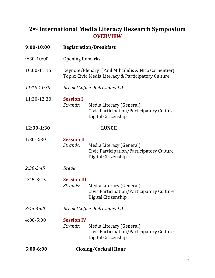# **2nd International Media Literacy Research Symposium OVERVIEW**

| 9:00-10:00      | <b>Registration/Breakfast</b>                                                                              |                                                                                              |  |
|-----------------|------------------------------------------------------------------------------------------------------------|----------------------------------------------------------------------------------------------|--|
| 9:30-10:00      | <b>Opening Remarks</b>                                                                                     |                                                                                              |  |
| 10:00-11:15     | Keynote/Plenary (Paul Mihailidis & Nico Carpentier)<br>Topic: Civic Media Literacy & Participatory Culture |                                                                                              |  |
| $11:15 - 11:30$ | Break (Coffee-Refreshments)                                                                                |                                                                                              |  |
| 11:30-12:30     | <b>Session I</b><br>Strands:                                                                               | Media Literacy (General)<br>Civic Participation/Participatory Culture<br>Digital Citizenship |  |
| 12:30-1:30      | <b>LUNCH</b>                                                                                               |                                                                                              |  |
| $1:30-2:30$     | <b>Session II</b><br>Strands:                                                                              | Media Literacy (General)<br>Civic Participation/Participatory Culture<br>Digital Citizenship |  |
| $2:30 - 2:45$   | <b>Break</b>                                                                                               |                                                                                              |  |
| $2:45-3:45$     | <b>Session III</b><br>Strands:                                                                             | Media Literacy (General)<br>Civic Participation/Participatory Culture<br>Digital Citizenship |  |
| $3:45 - 4:00$   | Break (Coffee-Refreshments)                                                                                |                                                                                              |  |
| $4:00 - 5:00$   | <b>Session IV</b><br>Strands:                                                                              | Media Literacy (General)<br>Civic Participation/Participatory Culture<br>Digital Citizenship |  |
| $5:00 - 6:00$   | <b>Closing/Cocktail Hour</b>                                                                               |                                                                                              |  |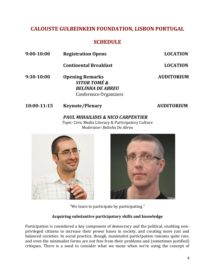# **CALOUSTE GULBEINKEIN FOUNDATION, LISBON PORTUGAL**

# **SCHEDULE**

**9:00-10:00 Registration Opens LOCATION**

**Continental Breakfast LOCATION**

**9:30-10:00 Opening Remarks AUDITORIUM** *VITOR TOMÉ & BELINHA DE ABREU*  Conference Organizers

# **10:00-11:15 Keynote/Plenary AUDITORIUM**

*PAUL MIHAILIDIS & NICO CARPENTIER Topic:* Civic Media Literacy & Participatory Culture *Moderator: Belinha De Abreu*





"We learn to participate by participating."

# **Acquiring substantive participatory skills and knowledge**

Participation is considered a key component of democracy and the political, enabling nonprivileged citizens to increase their power bases in society, and creating more just and balanced societies. In social practice, though, maximalist participation remains quite rare, and even the minimalist forms are not free from their problems and (sometimes justified) critiques. There is a need to consider what we mean when we're using the concept of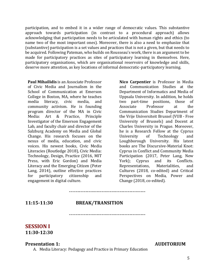participation, and to embed it in a wider range of democratic values. This substantive approach towards participation (in contrast to a procedural approach) allows acknowledging that participation needs to be articulated with human rights and ethics (to name two of the most important ones). Moreover, there is also a need to emphasize that (substantive) participation is a set values and practices that is not a given, but that needs to be acquired. Following Pateman, who builds on Rousseau's work, there is an argument to be made for participatory practices as sites of participatory learning in themselves. Here, participatory organisations, which are organisational reservoirs of knowledge and skills, deserve more attention, as key locations of informal democratic-participatory learning.

**Paul Mihailidis** is an Associate Professor of Civic Media and Journalism in the School of Communication at Emerson College in Boston, MA, where he teaches media literacy, civic media, and community activism. He is founding program director of the MA in Civic Media: Art & Practice, Principle Investigator of the Emerson Engagement Lab, and faculty chair and director of the Salzburg Academy on Media and Global Change. His research focuses on the nexus of media, education, and civic voices. His newest books, Civic Media Literacies (Routledge 2018), Civic Media: Technology, Design, Practice (2016, MIT Press, with Eric Gordon) and Media Literacy and the Emerging Citizen (Peter Lang, 2014), outline effective practices for participatory citizenship and engagement in digital culture.

**Nico Carpentier** is Professor in Media and Communication Studies at the Department of Informatics and Media of Uppsala University. In addition, he holds two part-time positions, those of Associate Professor at the Communication Studies Department of the Vrije Universiteit Brussel (VUB - Free University of Brussels) and Docent at Charles University in Prague. Moreover, he is a Research Fellow at the Cyprus University of Technology and Loughborough University. His latest books are The Discursive-Material Knot: Cyprus in Conflict and Community Media Participation (2017, Peter Lang, New York); Cyprus and its Conflicts. Representations, Materialities, and Cultures (2018, co-edited) and Critical Perspectives on Media, Power and Change (2018, co-edited).

### **11:15-11:30 BREAK/TRANSITION**

-----------------------------------------------

-----------------------------------------------

# **SESSION I 11:30-12:30**

### **Presentation 1: AUDITORIUM**

A. Media Literacy: Pedagogy and Practice in Primary Education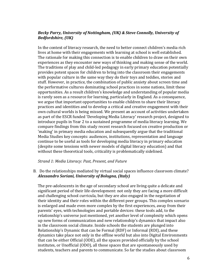### *Becky Parry, University of Nottingham, (UK) & Steve Connolly, University of Bedfordshire, (UK)*

In the context of literacy research, the need to better connect children's media rich lives at home with their engagements with learning at school is well established. The rationale for making this connection is to enable children to draw on their own experiences as they encounter new ways of thinking and making sense of the world. The traditions of play and child-led pedagogy in early primary education potentially provides potent spaces for children to bring into the classroom their engagements with popular culture in the same way they do their toys and teddies, stories and stuff. However, in practice, the combination of public anxiety about screen time and the performative cultures dominating school practices in some nations, limit these opportunities. As a result children's knowledge and understanding of popular media is rarely seen as a resource for learning, particularly in England. As a consequence, we argue that important opportunities to enable children to share their literacy practices and identities and to develop a critical and creative engagement with their own cultural worlds is being missed. We present an account of activities undertaken as part of the ESCR funded 'Developing Media Literacy' research project, designed to introduce pupils in Year 2 to a sustained programme of media literacy learning. We compare findings from this study recent research focused on creative production or 'making' in primary media education and subsequently argue that the traditional Media Studies key concepts: audiences, institutions, representation and language continue to be useful as tools for developing media literacy in primary education (despite some tensions with newer models of digital literacy education) and that without these theoretical tools, criticality is problematically sidelined.

### *Strand 1: Media Literacy: Past, Present, and Future*

B. Do the relationships mediated by virtual social spaces influence classroom climate? *Alessandro Soriani, University of Bologna, (Italy)*

The pre-adolescents in the age of secondary school are living quite a delicate and significant period of their life-development: not only they are facing a more difficult and challenging school curricula, but they are also engaged in the negotiation of their identity and their roles within the different peer groups. This complex scenario is enlarged and made even more complex by the first experiences, away from their parents' eyes, with technologies and portable devices: these tools add, to the relationship's universe just mentioned, yet another level of complexity which opens up new forms of communication and new relationship's dynamics that impact also in the classroom social climate. Inside schools the students are plunged into Relationship's Dynamic that can be Formal (RDF) or Informal (RDI), and these dynamics take place not only in the offline world but also into Digital Environments that can be either Official (ODE), all the spaces provided officially by the school institutes, or Unofficial (ODO), all those spaces that are spontaneously used by students, teachers and parents to communicate. So far the studies about classroom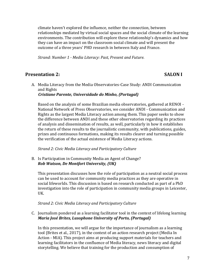climate haven't explored the influence, neither the connection, between relationships mediated by virtual social spaces and the social climate of the learning environments. The contribution will explore these relationship's dynamics and how they can have an impact on the classroom social climate and will present the outcome of a three years' PHD research in between Italy and France.

*Strand: Number 1 - Media Literacy: Past, Present and Future.*

### **Presentation 2: SALON I**

A. Media Literacy from the Media Observatories-Case Study: ANDI Communication and Rights

 *Cristiane Parente, Universidade do Minho, (Portugal)*

Based on the analysis of some Brazilian media observatories, gathered at RENOI - National Network of Press Observatories, we consider ANDI - Communication and Rights as the largest Media Literacy action among them. This paper seeks to show the difference between ANDI and these other observatories regarding its practices of analysis and dissemination of results, as well, particularly in how it establishes the return of these results to the journalistic community, with publications, guides, prizes and continuous formations, making its results clearer and turning possible the verification of the actual existence of Media Literacy actions.

*Strand 2: Civic Media Literacy and Participatory Culture*

B. Is Participation in Community Media an Agent of Change? *Rob Watson, De Montfort University, (UK)*

This presentation discusses how the role of participation as a neutral social process can be used to account for community media practices as they are operative in social lifeworlds. This discussion is based on research conducted as part of a PhD investigation into the role of participation in community media groups in Leicester, UK.

*Strand 2: Civic Media Literacy and Participatory Culture*

C. Journalism pondered as a learning facilitator tool in the context of lifelong learning *Maria José Brites, Lusophone University of Porto, (Portugal)*

In this presentation, we will argue for the importance of journalism as a learning tool (Brites et al., 2017), in the context of an action research project (Media In Action - MIA). This project aims at producing support materials for teachers and learning facilitators in the confluence of Media literacy, news literacy and digital storytelling. We believe that training for the production and consumption of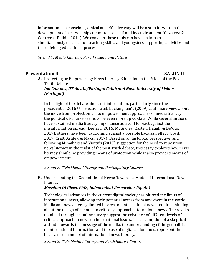information in a conscious, ethical and effective way will be a step forward in the development of a citizenship committed to itself and its environment (Gozálvez & Contreras-Pulido, 2014). We consider these tools can have an impact simultaneously on the adult teaching skills, and youngsters supporting activities and their lifelong educational process.

*Strand 1: Media Literacy: Past, Present, and Future*

### **Presentation 3: SALON II**

**A.** Protecting or Empowering: News Literacy Education in the Midst of the Post-Truth Debate

*Ioli Campos, UT Austin/Portugal Colab and Nova University of Lisbon (Portugal)*

In the light of the debate about misinformation, particularly since the presidential 2016 U.S. election trail, Buckingham's (2009) cautionary view about the move from protectionism to empowerment approaches of media literacy in the political discourse seems to be even more up-to-date. While several authors have sustained media literacy importance as a tool to react against the misinformation spread (Leetaru, 2016; McGivney, Kasten, Haugh, & DeVito, 2017), others have been cautioning against a possible backlash effect (boyd, 2017; Craft, Ashley, & Maksl, 2017). Based on an historical perspective, and following Mihailidis and Viotty's (2017) suggestion for the need to reposition news literacy in the midst of the post-truth debate, this essay explores how news literacy should be providing means of protection while it also provides means of empowerment.

*Strand 2: Civic Media Literacy and Participatory Culture*

**B.** Understanding the Geopolitics of News: Towards a Model of International News **Literacy** 

### *Massimo Di Ricco, PhD., Independent Researcher (Spain)*

Technological advances in the current digital society has blurred the limits of international news, allowing their potential access from anywhere in the world. Media and news literacy limited interest on international news requires thinking about the design of a model to critically approach international news. The results obtained through an online survey suggest the existence of different levels of critical approach to news on international issues. The assumption of a skeptical attitude towards the message of the media, the understanding of the geopolitics of international information, and the use of digital action tools, represent the basic axis of a model of international news literacy.

*Strand 2: Civic Media Literacy and Participatory Culture*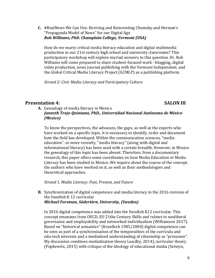**C.** #RealNews We Can Use: Reviving and Reinventing Chomsky and Herman's "Propaganda Model of News" for our Digital Age *Rob Williams, PhD. Champlain College, Vermont (USA)*

How do we marry critical media literacy education and digital multimedia production in our 21st century high school and university classrooms? This participatory workshop will explore myriad answers to this question. Dr. Rob Williams will come prepared to share student-focused work - blogging, digital video production, news journal publishing with the Vermont Independent, and the Global Critical Media Literacy Project (GCMLP) as a publishing platform.

*Strand 2: Civic Media Literacy and Participatory Culture*

# **Presentation 4:** SALON III

**A.** Genealogy of media literacy in Mexico *Janneth Trejo-Quintana, PhD., Universidad Nacional Autónoma de México (Mexico)* 

To know the perspectives, the advances, the gaps, as well as the experts who have worked on a specific topic, it is necessary to identify, order and document how the field has developed. Within the communication sciences, "media education", or more recently, "media literacy" (along with digital and informational literacy) has been used with a certain breadth. However, in Mexico the genealogy of this topic has been absent. Therefore, from a documentary research, this paper offers some coordinates on how Media Education or Media Literacy has been studied in Mexico. We inquire about the course of the concept, the authors who have worked on it, as well as their methodologies and theoretical approaches.

*Strand 1. Media Literacy: Past, Present, and Future*

**B.** Synchronization of digital competence and media literacy in the 2016 revision of the Swedish K 12 curricular *Michael Forsman, Södertörn, University, (Sweden)*

In 2016 digital competence was added into the Swedish K12 curricular. This concept emanates from OECD, EU 21the Century Skills and relates to neoliberal governance and employability and networked individualism (Williamson 2017). Based on "historical semantics" (Koselleck 1985/2004) digital competence can be seen as part of a synchronization of the temporalities of the curricula and edu-tech interests and a mediatized understanding of citizenship as "prosumer". My discussion combines mediatization theory Lundby, 2014), curricular theory (Popkewitz, 2015) with critique of the ideology of educational media (Selwyn,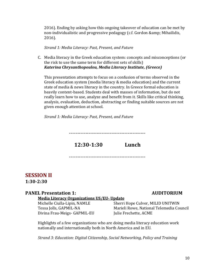2016). Ending by asking how this ongoing takeover of education can be met by non-individualistic and progressive pedagogy (c.f. Gordon & amp; Mihailidis, 2016).

*Strand 1: Media Literacy: Past, Present, and Future*

C. Media literacy in the Greek education system: concepts and misconceptions (or the risk to use the same term for different sets of skills) *Katerina Chrysanthopoulou, Media Literacy Institute, (Greece)*

This presentation attempts to focus on a confusion of terms observed in the Greek education system (media literacy & media education) and the current state of media & news literacy in the country. In Greece formal education is heavily content-based. Students deal with masses of information, but do not really learn how to use, analyze and benefit from it. Skills like critical thinking, analysis, evaluation, deduction, abstracting or finding suitable sources are not given enough attention at school.

*Strand 1: Media Literacy: Past, Present, and Future*

-----------------------------------------------

**12:30-1:30 Lunch**

-----------------------------------------------

# **SESSION II 1:30-2:30**

### **PANEL Presentation 1: AUDITORIUM**

### **Media Literacy Organizations US/EU- Update**

Divina Frau-Meigs- GAPMIL-EU Julie Frechette, ACME

Michelle Ciulla-Lipin, NAMLE Sherri Hope Culver, MILID UNITWIN Tessa Jolls, GAPMIL-NA Marieli Rowe, National Telemedia Council

Highlights of a few organizations who are doing media literacy education work nationally and internationally both in North America and in EU.

*Strand 3: Education: Digital Citizenship, Social Networking, Policy and Training*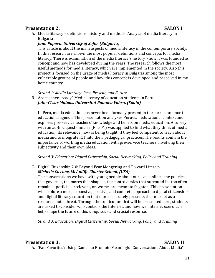## **Presentation 2: SALON I**

A. Media literacy – definitions, history and methods. Analyze of media literacy in Bulgaria

### *Jana Popova, University of Sofia, (Bulgaria)*

This article is about the main aspects of media literacy in the contemporary society. In this research are shown the most popular definitions and concepts for media literacy. There is examination of the media literacy's history - how it was founded as concept and how has developed during the years. The research follows the most useful methods for media literacy, which are implemented in the society. Also this project is focused on the usage of media literacy in Bulgaria among the most vulnerable groups of people and how this concept is developed and perceived in my home country.

*Strand 1: Media Literacy: Past, Present, and Future*

B. Are teachers ready? Media literacy of education students in Peru *Julio-César Mateus, Universitat Pompeu Fabra, (Spain)*

In Peru, media education has never been formally present in the curriculum nor the educational agenda. This presentation analyses Peruvian educational context and explores pre-service teachers' knowledge and beliefs on media education. A survey with an ad-hoc questionnaire (N=501) was applied to find what they think of media education; its relevance; how is being taught; if they feel competent to teach about media and to integrate ICT into their pedagogical practices. The results confirm the importance of working media education with pre-service teachers, involving their subjectivity and their own ideas.

*Strand 3: Education: Digital Citizenship, Social Networking, Policy and Training*

C. Digital Citizenship 2.0: Beyond Fear Mongering and Toward Literacy *Michelle Ciccone, McAuliffe Charter School, (USA)*

The conversations we have with young people about our lives online - the policies that govern it, the mores that shape it, the controversies that surround it - too often remain superficial, irrelevant, or, worse, are meant to frighten. This presentation will explore a more expansive, positive, and concrete approach to digital citizenship and digital literacy education that more accurately presents the Internet as a resource, not a threat. Through the curriculum that will be presented here, students are asked to consider who controls the Internet, and how we, Internet users, can help shape the future of this ubiquitous and crucial resource.

*Strand 3: Education: Digital Citizenship, Social Networking, Policy and Training*

### **Presentation 3: SALON II**

A. 'Fan Favorites': Using Games to Promote Meaningful Conversations About Media"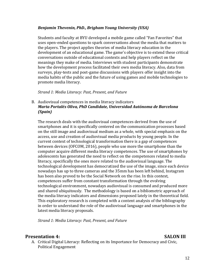### *Benjamin Thevenin, PhD., Brigham Young University (USA)*

Students and faculty at BYU developed a mobile game called "Fan Favorites" that uses open-ended questions to spark conversations about the media that matters to the players. The project applies theories of media literacy education in the development of an educational game. The game's objective is to extend these critical conversations outside of educational contexts and help players reflect on the meanings they make of media. Interviews with student participants demonstrate how the development process facilitated their own media literacy. Also, data from surveys, play-tests and post-game discussions with players offer insight into the media habits of the public and the future of using games and mobile technologies to promote media literacy.

### *Strand 1: Media Literacy: Past, Present, and Future*

### B. Audiovisual competences in media literacy indicators *Marta Portalés Oliva, PhD Candidate, Universidad Autónoma de Barcelona (Spain)*

The research deals with the audiovisual competences derived from the use of smartphones and it is specifically centered on the communication processes based on the still image and audiovisual medium as a whole, with special emphasis on the access, use and creation of audiovisual media products by young people. In the current context of technological transformation there is a gap of competences between devices (OFCOM, 2016), people who use more the smartphone than the computer acquire different media literacy competences. The use of smartphones by adolescents has generated the need to reflect on the competences related to media literacy, specifically the ones more related to the audiovisual language. The technological development has democratized the use of the image, since each device nowadays has up to three cameras and the 35mm has been left behind, Instagram has been also proved to be the Social Network on the rise. In this context, competences suffer from constant transformation through the evolving technological environment, nowadays audiovisual is consumed and produced more and shared ubiquitously. The methodology is based on a bibliometric approach of the media literacy indicators and dimensions proposed lately in the theoretical field. This exploratory research is completed with a content analysis of the bibliography in order to understand the role of the audiovisual language and smartphones in the latest media literacy proposals.

*Strand 1: Media Literacy: Past, Present, and Future*

### **Presentation 4: SALON III**

A. Critical Digital Literacy: Reflecting on its Importance for Democracy and Civic, Political Engagement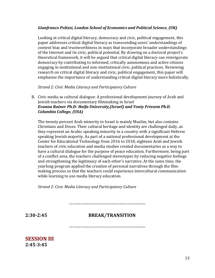### *Gianfranco Polizzi, London School of Economics and Political Science, (UK)*

Looking at critical digital literacy, democracy and civic, political engagement, this paper addresses critical digital literacy as transcending users' understandings of content bias and trustworthiness in ways that incorporate broader understandings of the Internet and its civic, political potential. By drawing on a doctoral project's theoretical framework, it will be argued that critical digital literacy can reinvigorate democracy by contributing to informed, critically autonomous and active citizens engaging in institutional and non-institutional civic, political practices. Reviewing research on critical digital literacy and civic, political engagement, this paper will emphasise the importance of understanding critical digital literacy more holistically.

### *Strand 2: Civic Media Literacy and Participatory Culture*

B. Civic media as cultural dialogue: A professional development journey of Arab and Jewish teachers via documentary filmmaking in Israel *Evanna Ratner Ph.D- Haifa University,(Israel) and Yonty Friesem Ph.D. Columbia College, (USA)*

The twenty percent Arab minority in Israel is mainly Muslim, but also contains Christians and Druze. Their cultural heritage and identity are challenged daily, as they represent an Arabic speaking minority in a country with a significant Hebrew speaking Jewish majority. As part of a national professional development at the Center for Educational Technology from 2016 to 2018, eighteen Arab and Jewish teachers of civic education and media studies created documentaries as a way to have a cultural dialogue for the purpose of peace education. Furthermore, being part of a conflict area, the teachers challenged stereotypes by reducing negative feelings and strengthening the legitimacy of each other's narrative. At the same time, the yearlong program applied the creation of personal narratives through the filmmaking process so that the teachers could experience intercultural communication while learning to use media literacy education.

*Strand 2: Civic Media Literacy and Participatory Culture*

-----------------------------------------------

# **2:30-2:45 BREAK/TRANSITION**

-----------------------------------------------

**SESSION III 2:45-3:45**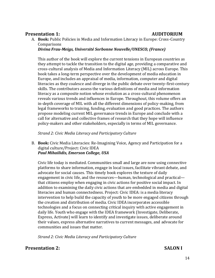# **Presentation 1: AUDITORIUM**

A. **Book:** Public Policies in Media and Information Literacy in Europe: Cross-Country **Comparisons** 

*Divina Frau-Meigs, Université Sorbonne Nouvelle/UNESCO, (France)*

This author of the book will explore the current tensions in European countries as they attempt to tackle the transition to the digital age, providing a comparative and cross-cultural analysis of Media and Information Literacy (MIL) across Europe. This book takes a long-term perspective over the development of media education in Europe, and includes an appraisal of media, information, computer and digital literacies as they coalesce and diverge in the public debate over twenty-first-century skills. The contributors assess the various definitions of media and information literacy as a composite notion whose evolution as a cross-cultural phenomenon reveals various trends and influences in Europe. Throughout, this volume offers an in-depth coverage of MIL with all the different dimensions of policy-making, from legal frameworks to training, funding, evaluation and good practices. The authors propose modeling current MIL governance trends in Europe and conclude with a call for alternative and collective frames of research that they hope will influence policy-makers and other stakeholders, especially in terms of MIL governance.

*Strand 2: Civic Media Literacy and Participatory Culture*

B. **Book:** Civic Media Literacies: Re-Imagining Voice, Agency and Participation for a digital culture/Project: Civic IDEA *Paul Mihailidis, Emerson College, USA*

Civic life today is mediated. Communities small and large are now using connective platforms to share information, engage in local issues, facilitate vibrant debate, and advocate for social causes. This timely book explores the texture of daily engagement in civic life, and the resources—human, technological and practical that citizens employ when engaging in civic actions for positive social impact. In addition to examining the daily civic actions that are embedded in media and digital literacies and human connectedness. Project: Civic IDEA: is a media literacy intervention to help build the capacity of youth to be more engaged citizens through the creation and distribution of media. Civic IDEA incorporates accessible technologies and a focus on connecting critical inquiry with active engagement in daily life. Youth who engage with the IDEA framework (Investigate, Deliberate, Express, Activate) will learn to identify and investigate issues, deliberate around their values, express alternative narratives to current messages, and advocate for communities and issues that matter.

*Strand 2: Civic Media Literacy and Participatory Culture*

### **Presentation 2: SALON I**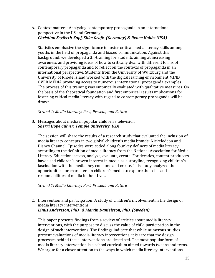A. Context matters: Analyzing contemporary propaganda in an international perspective in the US and Germany *Christian Seyferth-Zapf, Silke Grafe (Germany) & Renee Hobbs (USA)*

Statistics emphasize the significance to foster critical media literacy skills among youths in the field of propaganda and biased communication. Against this background, we developed a 3h-training for students aiming at increasing awareness and providing ideas of how to critically deal with different forms of contemporary propaganda and to reflect on the contexts of propaganda in an international perspective. Students from the University of Würzburg and the University of Rhode Island worked with the digital learning environment MIND OVER MEDIA providing access to numerous international propaganda examples. The process of this training was empirically evaluated with qualitative measures. On the basis of the theoretical foundation and first empirical results implications for fostering critical media literacy with regard to contemporary propaganda will be drawn.

*Strand 1: Media Literacy: Past, Present, and Future*

B. Messages about media in popular children's television *Sherri Hope Culver, Temple University, USA*

The session will share the results of a research study that evaluated the inclusion of media literacy concepts in two global children's media brands: Nickelodeon and Disney Channel. Episodes were coded along four key definers of media literacy according to the definition of media literacy from the National Association for Media Literacy Education: access, analyze, evaluate, create. For decades, content producers have used children's proven interest in media as a storyline, recognizing children's fascination with the media they consume and create. This study analyzed the opportunities for characters in children's media to explore the roles and responsibilities of media in their lives.

*Strand 1: Media Literacy: Past, Present, and Future*

C. Intervention and participation: A study of children's involvement in the design of media literacy interventions *Linus Andersson, PhD. & Martin Danielsson, PhD. (Sweden)*

This paper presents findings from a review of articles about media literacy interventions, with the purpose to discuss the value of child participation in the design of such interventions. The findings indicate that while numerous studies present evaluations of media literacy interventions, it is rare that the design processes behind these interventions are described. The most popular form of media literacy intervention is a school curriculum aimed towards tweens and teens. We argue for a closer attention to the ways in which media literacy interventions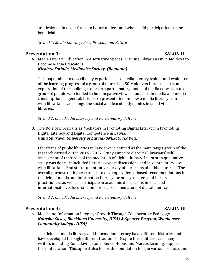are designed in order for us to better understand when child participation can be beneficial.

*Strand 1: Media Literacy: Past, Present, and Future*

### **Presentation 3: SALON II**

A. Media Literacy Education in Alternative Spaces. Training Librarians in R. Moldova to Become Media Educators *Nicoleta Fotiade, Mediawise Society, (Romania)*

This paper aims to describe my experience as a media literacy trainer and evaluator of the learning progress of a group of more than 50 Moldovan librarians. It is an exploration of the challenge to teach a participatory model of media education to a group of people who tended to hold negative views about certain media and media consumption, in general. It is also a presentation on how a media literacy course with librarians can change the social and learning dynamics in small village libraries.

*Strand 2: Civic Media Literacy and Participatory Culture*

B. The Role of Librarians as Mediators in Promoting Digital Literacy in Promoting Digital Literacy and Digital Competence in Latvia. *Guna Spurava, University of Latvia/UNESCO, (Latvia)*

Librarians of public libraries in Latvia were defined as the main target group of the research carried out in 2016 - 2017. Study aimed to discover librarians' selfassessment of their role of the mediation of digital literacy. In 1st step qualitative study was done - it included libraries expert discussions and in-depth interviews with librarians. 2nd step – quantitative survey of librarians of public libraries. The overall purpose of this research is to develop evidence-based recommendations in the field of media and information literacy for policy-makers and library practitioners as well as participate in academic discussions in local and international level focussing on librarians as mediators of digital literacy.

*Strand 2: Civic Media Literacy and Participatory Culture*

### **Presentation 4:** SALON III

A. Media and Information Literacy: Growth Through Collaborative Pedagogy *Natasha Casey, Blackburn University, (USA) & Spencer Brayton, Waubonsee Community College, (USA)*

The fields of media literacy and information literacy have different histories and have developed through different traditions. Despite these differences, many writers including Sonia Livingstone, Renee Hobbs and Marcus Leaning, support their integration. This appeal also forms the foundation for the various projects and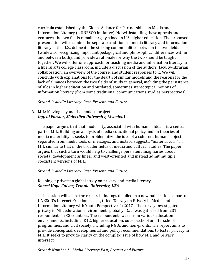curricula established by the Global Alliance for Partnerships on Media and Information Literacy (a UNESCO initiative). Notwithstanding these appeals and ventures, the two fields remain largely siloed in U.S. higher education. The proposed presentation will examine the separate traditions of media literacy and information literacy in the U.S., delineate the striking commonalities between the two fields (while also recognizing important pedagogical and philosophical differences within and between both), and provide a rationale for why the two should be taught together. We will offer one approach for teaching media and information literacy in a liberal arts college classroom, include a discussion of the authors' faculty-librarian collaboration, an overview of the course, and student responses to it. We will conclude with explanations for the dearth of similar models and the reasons for the lack of alliances between the two fields of study in general, including the persistence of silos in higher education and outdated, sometimes stereotypical notions of information literacy (from some traditional communications studies perspectives).

*Strand 1: Media Literacy: Past, Present, and Future*

B. MIL: Moving beyond the modern project *Ingrid Forsler, Södertörn University, (Sweden)*

The paper argues that that modernity, associated with humanist ideals, is a central part of MIL. Building on analysis of media educational policy and on theories of media materiality, it seeks to problematize the idea of a coherent human subject separated from media tools or messages, and instead suggest a "material turn" in MIL similar to that in the broader fields of media and cultural studies. The paper argues that such a turn would help to challenge persistent imaginaries about societal development as linear and west-oriented and instead admit multiple, coexistent versions of MIL.

*Strand 1: Media Literacy: Past, Present, and Future*

C. Keeping it private: a global study on privacy and media literacy *Sherri Hope Culver, Temple University, USA*

This session will share the research findings detailed in a new publication as part of UNESCO's Internet Freedom series, titled "Survey on Privacy in Media and Information Literacy with Youth Perspectives" (2017) The survey investigated privacy in MIL education environments globally. Data was gathered from 231 respondents in 33 countries. The respondents were from various education environments, including: K12, higher education, out-of-school or afterschool programmes, and civil society, including NGOs and non-profits. The report aims to provide conceptual, developmental and policy recommendations to foster privacy in MIL. It seeks to provide clarity on the complex issue of how MIL and privacy intersect.

*Strand: Number 1 - Media Literacy: Past, Present and Future.*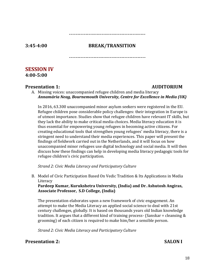### -----------------------------------------------

### **3:45-4:00 BREAK/TRANSITION**

 $-$ 

### **SESSION IV 4:00-5:00**

### **Presentation 1: AUDITORIUM**

A. Missing voices: unaccompanied refugee children and media literacy *Annamária Neag, Bournemouth University, Centre for Excellence in Media (UK)*

In 2016, 63.300 unaccompanied minor asylum seekers were registered in the EU. Refugee children pose considerable policy challenges: their integration in Europe is of utmost importance. Studies show that refugee children have relevant IT skills, but they lack the ability to make critical media choices. Media literacy education it is thus essential for empowering young refugees in becoming active citizens. For creating educational tools that strengthen young refugees' media literacy, there is a stringent need to understand their media experiences. This paper will present the findings of fieldwork carried out in the Netherlands, and it will focus on how unaccompanied minor refugees use digital technology and social media. It will then discuss how these findings can help in developing media literacy pedagogic tools for refugee children's civic participation.

*Strand 2: Civic Media Literacy and Participatory Culture*

B. Model of Civic Participation Based On Vedic Tradition & Its Applications in Media Literacy

**Pardeep Kumar, Kurukshetra University, (India) and Dr. Ashutosh Angiras, Associate Professor, S.D College, (India)**

The presentation elaborates upon a new framework of civic engagement. An attempt to make the Media Literacy an applied social science to deal with 21st century challenges, globally. It is based on thousands years old Indian knowledge tradition. It argues that a different kind of training process- (Sanskar = cleansing & grooming) of each citizen is required to make him/her a sensible person.

*Strand 2: Civic Media Literacy and Participatory Culture*

**Presentation 2: SALON I**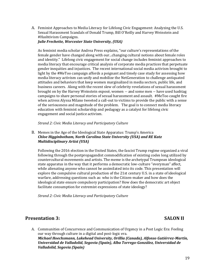A. Feminist Approaches to Media Literacy for Lifelong Civic Engagement: Analyzing the U.S. Sexual Harassment Scandals of Donald Trump, Bill O'Reilly and Harvey Weinstein and #Hashtivism Campaigns.

### *Julie Frechette, Worcester State University, (USA)*

As feminist media scholar Andrea Press explains, "our culture's representations of the female gender have changed along with our...changing cultural notions about female roles and identity." Lifelong civic engagement for social change includes feminist approaches to media literacy that encourage critical analysis of corporate media practices that perpetuate gender inequities and injustices. The recent international social media activism brought to light by the #MeToo campaign affords a poignant and timely case study for assessing how media literacy activism can unify and mobilize the NetGeneration to challenge antiquated attitudes and behaviors that keep women marginalized in media sectors, public life, and business careers. Along with the recent slew of celebrity revelations of sexual harassment brought on by the Harvey Weinstein exposé, women -- and some men -- have used hashtag campaigns to share personal stories of sexual harassment and assault. #MeToo caught fire when actress Alyssa Milano tweeted a call-out to victims to provide the public with a sense of the seriousness and magnitude of the problem. The goal is to connect media literacy education with feminist scholarship and pedagogy as a catalyst for lifelong civic engagement and social justice activism.

*Strand 2: Civic Media Literacy and Participatory Culture*

### B. Memes in the Age of the Ideological State Apparatus: Trump's America *Chloe Higginbotham, North Carolina State University (USA) and RE Katz Multidisciplinary Artist (USA)*

Following the 2016 election in the United States, the fascist Trump regime organized a viral following through the postpropagandist commodification of existing codes long utilized by countercultural movements and artists. The meme is the archetypal Trumpean ideological state apparatus in the way that it performs a democratic low-culture "everyman" affect, while alienating anyone who cannot be assimilated into its code. This presentation will explore the compulsive cultural production of the 21st century U.S. in a state of ideological warfare, addressing questions such as: who is the Citizen-maker and how does the ideological state ensure compulsory participation? How does the democratic art object facilitate consumption for extremist expressions of state ideology?

*Strand 2: Civic Media Literacy and Participatory Culture*

# **Presentation 3: SALON II**

### A. Communities of Concurrence and Communication of Urgency in a Post Logic Era: Feeling our way through culture in a digital and post-logic era. *Michael Hoechsmann, Lakehead University, Orillia (Canada), Alfonso Gutiérrez-Martín, Universidad de Valladolid, Segovia (Spain), Alba Torrego-González, Universidad de Valladolid, Segovia (Spain)*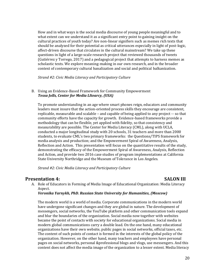How and in what ways is the social media discourse of young people meaningful and to what extent can we understand it as a significant entry point to gaining insight on the cultural practices of youth today? Are non-linear signifiers such as memes rich texts that should be analyzed for their potential as critical utterances especially in light of post-logic, affect-driven discourse that circulates in the cultural mainstream? We take up these questions in light of a large-scale research project that reviewed thousands of tweets (Gutiérrez y Torrego, 2017) and a pedagogical project that attempts to harness memes as scholastic texts. We explore meaning-making in our own research, and in the broader context of contemporary cultural banalization and social and political balkanization.

*Strand #2: Civic Media Literacy and Participatory Culture*

### B. Using an Evidence-Based Framework for Community Empowerment *Tessa Jolls, Center for Media LItearcy, (USA)*

To promote understanding in an age where smart phones reign, educators and community leaders must insure that the action-oriented process skills they encourage are consistent, replicable, measurable and scalable – and capable of being applied to any project -- so that community efforts have the capacity for growth. Evidence-based frameworks provide a methodology that can be flexible, yet applied with fidelity, so that consistency and measurability are possible. The Center for Media Literacy (CML), along with UCLA, conducted a major longitudinal study with 20 schools, 31 teachers and more than 2000 students, to evaluate CML's two primary frameworks: the Questions/TIPS framework for media analysis and production; and the Empowerment Spiral of Awareness, Analysis, Reflection and Action. This presentation will focus on the quantitative results of the study, demonstrating the efficacy of the Empowerment Spiral of Awareness, Analysis, Reflection and Action, and provide two 2016 case studies of program implementations at California State University Northridge and the Museum of Tolerance in Los Angeles.

*Strand #2: Civic Media Literacy and Participatory Culture*

### **Presentation 4: SALON III**

A. Role of Educators in Forming of Media Image of Educational Organization: Media Literacy Aspect.

### *Veronika Yarnykh, PhD. Russian State University for Humanities, (Moscow)*

The modern world is a world of media. Corporate communications in the modern world have undergone significant changes and they are global in nature. The development of messengers, social networks, the YouTube platform and other communication tools expand and blur the boundaries of the organization. Social media now together with websites became the point of contacts with society for educational organizations. Social media in modern global communications carry a double load. On the one hand, many educational organizations have their own website, public pages in social networks, official taxes, etc. The content of such points of contact is formed in the interests of the global policy of the organization. However, on the other hand, many teachers and employees have personal pages on social networks, personal &professional blogs and vlogs, use messengers. And this content does not affect the media image of the organization to a lesser extent. Media literacy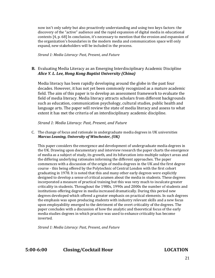now isn't only safety but also proactively understanding and using two keys factors: the discovery of the "active" audience and the rapid expansion of digital media in educational contexts [4, p. 68] In conclusion, it's necessary to mention that the erosion and expansion of the organization's boundaries in the modern media and communication space will only expand, new stakeholders will be included in the process.

*Strand 1: Media Literacy: Past, Present, and Future*

### **B.** Evaluating Media Literacy as an Emerging Interdisciplinary Academic Discipline *Alice Y. L. Lee, Hong Kong Baptist University (China)*

Media literacy has been rapidly developing around the globe in the past four decades. However, it has not yet been commonly recognized as a mature academic field. The aim of this paper is to develop an assessment framework to evaluate the field of media literacy. Media literacy attracts scholars from different backgrounds such as education, communication psychology, cultural studies, public health and language arts. The paper will review the state of media literacy and assess to what extent it has met the criteria of an interdisciplinary academic discipline.

*Strand 1: Media Literacy: Past, Present, and Future*

### C. The change of focus and rationale in undergraduate media degrees in UK universities *Marcus Leaning, University of Winchester, (UK)*

This paper considers the emergence and development of undergraduate media degrees in the UK. Drawing upon documentary and interview research the paper charts the emergence of media as a subject of study, its growth, and its bifurcation into multiple subject areas and the differing underlying rationales informing the different approaches. The paper commences with a discussion of the origin of media degrees in the UK and the first degree course - this being offered by the Polytechnic of Central London with the first cohort graduating in 1978. It is noted that this and many other early degrees were explicitly designed to develop a sense of critical acumen about the media in students. These degrees incorporated a measure of practical training but this was very much to inculcate greater criticality in students. Throughout the 1980s, 1990s and 2000s the number of students and institutions offering degree in media increased dramatically. During this period new degrees developed which offered a greater emphasis on practical elements. In such degrees the emphasis was upon producing students with industry relevant skills and a new focus upon employability emerged to the detriment of the overt criticality of the degrees. The paper concludes with a discussion of how the analytic and theoretical focus of the early media studies degrees in which practice was used to enhance criticality has become inverted.

*Strand 1: Media Literacy: Past, Present, and Future*

# **5:00-6:00 Closing/Cocktail Hour LOCATION**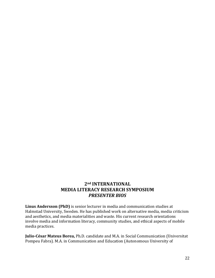# **2nd INTERNATIONAL MEDIA LITERACY RESEARCH SYMPOSIUM**  *PRESENTER BIOS*

**Linus Andersson (PhD)** is senior lecturer in media and communication studies at Halmstad University, Sweden. He has published work on alternative media, media criticism and aesthetics, and media materialities and waste. His current research orientations involve media and information literacy, community studies, and ethical aspects of mobile media practices.

**Julio-César Mateus Borea,** Ph.D. candidate and M.A. in Social Communication (Universitat Pompeu Fabra). M.A. in Communication and Education (Autonomous University of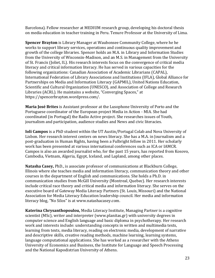Barcelona). Fellow researcher at MEDIUM research group, developing his doctoral thesis on media education in teacher training in Peru. Tenure Professor at the University of Lima.

**Spencer Brayton** is Library Manager at Waubonsee Community College, where he he works to support library services, operations and continuous quality improvement and growth of the college libraries. Spencer holds an M.A. in Library and Information Studies from the University of Wisconsin-Madison, and an M.S. in Management from the University of St. Francis (Joliet, IL). His research interests focus on the convergence of critical media literacy and critical information literacy. He has served in various capacities for the following organizations: Canadian Association of Academic Librarians (CAPAL), International Federation of Library Associations and Institutions (IFLA), Global Alliance for Partnerships on Media and Information Literacy (GAPMIL), United Nations Education, Scientific and Cultural Organization (UNESCO), and Association of College and Research Libraries (ACRL). He maintains a website, "Converging Spaces," at https://spencerbrayton.wordpress.com/.

**Maria José Brites** is Assistant professor at the Lusophone University of Porto and the Portuguese coordinator of the European project Media in Action - MIA. She had coordinated (in Portugal) the Radio Active project. She researches issues of Youth, journalism and participation, audience studies and News and civic literacies.

**Ioli Campos** is a PhD student within the UT Austin/Portugal Colab and Nova University of Lisbon. Her research interest centers on news literacy. She has a M.A. in Journalism and a post-graduation in Human Rights, having been a Fulbright fellow in 2011. Her scholarly work has been presented at various international conferences such as ICA or IAMCR. Campos is also an awarded journalist who, for the past 15 years, has reported from Kosovo, Cambodia, Vietnam, Algeria, Egypt, Iceland, and Lapland, among other places.

**Natasha Casey,** PhD., is associate professor of communications at Blackburn College, Illinois where she teaches media and information literacy, communication theory and other courses in the department of English and communications. She holds a Ph.D. in communication studies from McGill University (Montreal, Quebec). Her research interests include critical race theory and critical media and information literacy. She serves on the executive board of Gateway Media Literacy Partners (St. Louis, Missouri) and the National Association for Media Literacy Education leadership council. Her media and information literacy blog, "No Silos" is at www.natashacasey.com.

**Katerina Chrysanthopoulou,** Media Literacy Institute, Managing Partner is a cognitive scientist (MSc), writer and interpreter (www.planitas.gr) with university degrees in computer science and English language and basic diploma in psychotherapy. Her research work and interests include: understanding concepts in written and multimedia texts, learning from texts, media literacy, reading on electronic media, development of narrative and descriptive skills, creative reading methods, machine learning, learning systems, language computational applications. She has worked as a researcher with the Athens University of Economics and Business, the Institute for Language and Speech Processing and the National Kapodistrian University of Athens.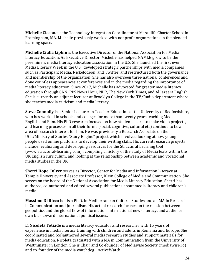**Michelle Ciccone** is the Technology Integration Coordinator at McAuliffe Charter School in Framingham, MA. Michelle previously worked with nonprofit organizations in the blended learning space.

**Michelle Ciulla Lipkin** is the Executive Director of the National Association for Media Literacy Education. As Executive Director, Michelle has helped NAMLE grow to be the preeminent media literacy education association in the U.S. She launched the first ever Media Literacy Week in the U.S., developed strategic partnerships with media companies such as Participant Media, Nickelodeon, and Twitter, and restructured both the governance and membership of the organization. She has also overseen three national conferences and done countless appearances at conferences and in the media regarding the importance of media literacy education. Since 2017, Michelle has advocated for greater media literacy education through CNN, PBS News Hour, NPR, The New York Times, and Al Jazeera English. She is currently an adjunct lecturer at Brooklyn College in the TV/Radio department where she teaches media criticism and media literacy.

**Steve Connolly** is a Senior Lecturer in Teacher Education at the University of Bedfordshire, who has worked in schools and colleges for more than twenty years teaching Media, English and Film. His PhD research focused on how students learn to make video projects, and learning processes in all their forms (social, cognitive, cultural etc) continue to be an area of research interest for him. He was previously a Research Associate on the UCL/Ministry of Stories "Story Engine" project which involved looking at how young people used online platforms to develop their writing skills. His current research projects include: evaluating and developing resources for the Structural Learning tool (www.structural-learning.com) ; compiling a history of the study of Media texts within the UK English curriculum; and looking at the relationship between academic and vocational media studies in the UK.

**Sherri Hope Culver** serves as Director, Center for Media and Information Literacy at Temple University and Associate Professor, Klein College of Media and Communication. She serves on the board of the National Association for Media Literacy Education. Sherri has authored, co-authored and edited several publications about media literacy and children's media.

**Massimo Di Ricco** holds a Ph.D. in Mediterranean Cultural Studies and an MA in Research in Communication and Journalism. His actual research focuses on the relation between geopolitics and the global flow of information, international news literacy, and audience own bias toward international political issues.

**E. Nicoleta Fotiade** is a media literacy educator and researcher with 15 years of experience in media literacy training with children and adults in Romania and Europe. She coordinated and (co)authored several media research studies and support materials for media education. Nicoleta graduated with a MA in Communication from the University of Westminster in London. She is Chair and Co-founder of Mediawise Society (mediawise.ro) and co-founder of the media watchdog - ActiveWatch.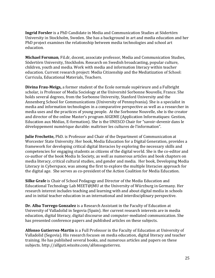**Ingrid Forsler** is a PhD Candidate in Media and Communication Studies at Södertörn University in Stockholm, Sweden. She has a background in art and media education and her PhD project examines the relationship between media technologies and school art education.

**Michael Forsman**, Fil.dr, docent, associate professor, Media and Communication Studies, Södertörn University, Stockholm. Research on Swedish broadcasting, popular culture, children, youth and media. Work with media and information literacy within teacher education. Current research project: Media Citizenship and the Mediatization of School: Curricula, Educational Materials, Teachers.

**Divina Frau-Meigs,** a former student of the Ecole normale supérieure and a Fulbright scholar, is Professor of Media Sociology at the Université Sorbonne Nouvelle, France. She holds several degrees, from the Sorbonne University, Stanford University and the Annenberg School for Communications (University of Pennsylvania). She is a specialist in media and information technologies in a comparative perspective as well as a researcher in media uses and the practices of young people. At the Sorbonne Nouvelle, she is the creator and director of the online Master's program AIGEME (Application Informatiques: Gestion, Education aux Médias, E-formation). She is the UNESCO Chair for "savoir-devenir dans le développement numérique durable: maîtriser les cultures de l'information".

**Julie Frechette,** PhD. is Professor and Chair of the Department of Communication at Worcester State University. Her book, Media Education for a Digital Generation, provides a framework for developing critical digital literacies by exploring the necessary skills and competencies for engaging students as citizens of the digital world. She is the co-editor and co-author of the book Media In Society, as well as numerous articles and book chapters on media literacy, critical cultural studies, and gender and media. Her book, Developing Media Literacy in Cyberspace, was among the first to explore the multiple literacies approach for the digital age. She serves as co-president of the Action Coalition for Media Education.

**Silke Grafe** is Chair of School Pedagogy and Director of the Media Education and Educational Technology Lab MEET@JMU at the University of Würzburg in Germany. Her research interest includes teaching and learning with and about digital media in schools and in initial teacher education in an international and interdisciplinary perspective.

**Dr. Alba Torrego Gonzalez** is a Research Assistant in the Faculty of Education at University of Valladolid in Segovia (Spain). Her current research interests are in media education, digital literacy, digital discourse and computer-mediated communication. She has presented conference papers and published articles on these subjects.

**Alfonso Gutierrez-Martin** is a Full Professor in the Faculty of Education at University of Valladolid (Segovia). His research focuses on media education, digital literacy and teacher training. He has published several books, and numerous articles and papers on these subjects. http://alfguti.wixsite.com/alfonsogutierrez.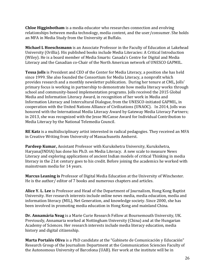**Chloe Higginbotham** is a media educator who researches connection and evolving relationships between media technology, media content, and the user/consumer. She holds an MFA in Media Study from the University at Buffalo.

**Michael L Hoeschsmann** is an Associate Professor in the Faculty of Education at Lakehead University (Orillia). His published books include Media Literacies: A Critical Introduction (Wiley). He is a board member of Media Smarts: Canada's Centre for Digital and Media Literacy and the Canadian co-Chair of the North American network of UNESCO GAPMIL.

**Tessa Jolls** is President and CEO of the Center for Media Literacy, a position she has held since 1999. She also founded the Consortium for Media Literacy, a nonprofit which provides research and a monthly newsletter publication. During her tenure at CML, Jolls' primary focus is working in partnership to demonstrate how media literacy works through school and community-based implementation programs. Jolls received the 2015 Global Media and Information Literacy Award, in recognition of her work in Media and Information Literacy and Intercultural Dialogue, from the UNESCO-initiated GAPMIL, in cooperation with the United Nations Alliance of Civilizations (UNAOC). In 2014, Jolls was honored with the International Media Literacy Award by Gateway Media Literacy Partners; in 2013, she was recognized with the Jesse McCanse Award for Individual Contribution to Media Literacy by the National Telemedia Council.

**RE Katz** is a multidisciplinary artist interested in radical pedagogies. They received an MFA in Creative Writing from University of Massachusetts Amherst.

**Pardeep Kumar,** Assistant Professor with Kurukshetra University, Kurukshetra, Haryana(INDIA) has done his Ph.D. on Media Literacy. A new scale to measure News Literacy and exploring applications of ancient Indian models of critical Thinking in media literacy in the 21st century goes to his credit. Before joining the academics he worked with mainstream media for 14 years.

**Marcus Leaning is** Professor of Digital Media Education at the University of Winchester. He is the author/ editor of 7 books and numerous chapters and articles.

**Alice Y. L. Lee** is Professor and Head of the Department of Journalism, Hong Kong Baptist University. Her research interests include online news media, media education, media and information literacy (MIL), Net Generation, and knowledge society. Since 2000, she has been involved in promoting media education in Hong Kong and mainland China.

**Dr. Annamária Neag** is a Marie Curie Research Fellow at Bournemouth University, UK. Previously, Annamaria worked at Nottingham University (China) and at the Hungarian Academy of Sciences. Her research interests include media literacy education, media history and digital citizenship.

**Marta Portalés Oliva** is a PhD candidate at the "Gabinete de Comunicación y Educación" Research Group of the Journalism Department at the Communication Sciencies Faculty of the Autonomous University of Barcelona (UAB). Her work at the institute will be in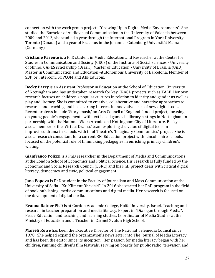connection with the work group projects "Growing Up in Digital Media Environments". She studied the Bachelor of Audiovisual Communication in the University of Valencia between 2009 and 2013, she studied a year through the International Program in York University Toronto (Canada) and a year of Erasmus in the Johannes Gutenberg Universität Mainz (Germany).

**Cristiane Parente** is a PhD student in Media Education and Researcher at the Center for Studies in Communication and Society (CECS) of the Institute of Social Sciences - University of Minho; CAPES scholarship (Brazil); Master of Education - University of Brasília (UnB); Master in Communication and Education -Autonomous University of Barcelona; Member of SBPJor, Intercom, SOPCOM and ABPEducom.

**Becky Parry** is an Assistant Professor in Education at the School of Education, University of Nottingham and has undertaken research for key CRACL projects such as TALE. Her own research focuses on children's popular cultures in relation to identity and gender as well as play and literacy. She is committed to creative, collaborative and narrative approaches to research and teaching and has a strong interest in innovative uses of new digital tools. Recent projects include 'Storysmash,' an Arts Council of England funded project, focusing on young people's engagements with text based games in library settings in Nottingham in partnership with the National Video Arcade and Nottingham City of Literature. Becky is also a member of the 'Virtual Drama,' team exploring the value of digital tools in improvised drama in schools with Chol Theatre's 'Imaginary Communities' project. She is also a research consultant for a current BFI Education project with Lincolnshire schools, focused on the potential role of filmmaking pedagogies in enriching primary children's writing.

**Gianfranco Polizzi** is a PhD researcher in the Department of Media and Communications at the London School of Economics and Political Science. His research is fully funded by the Economic and Social Research Council (ESRC) and his PhD project deals with critical digital literacy, democracy and civic, political engagement.

**Jana Popova** is PhD student in the Faculty of Journalism and Mass Communication at the University of Sofia - "St. Kliment Ohridski". In 2016 she started her PhD program in the field of book publishing, media communications and digital media. Her research is focused on the development of digital media.

**Evanna Ratner** Ph.D is at Gordon Academic College, Haifa University, Israel. Teaching and research in teacher preparation and media literacy, Expert in "Dialogue through Media", Peace Education and teaching and learning studies. Coordinator of Media Studies at the Ministry of Education and a Teacher in Carmel Zvulun High School.

**Marieli Rowe** has been the Executive Director of The National Telemedia Council since 1978. She helped expand the organization's newsletter into The Journal of Media Literacy and has been the editor since its inception. Her passion for media literacy began with her children, running children's film festivals, serving on boards for public radio, television and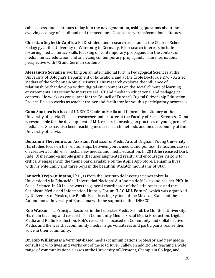cable access, and continues today into the next generation, asking questions about the evolving ecology of childhood and the need for a 21st century transformational literacy.

**Christian Seyferth-Zapf** is a Ph.D. student and research assistant at the Chair of School Pedagogy at the University of Würzburg in Germany. His research interests include fostering media literacy skills focusing on contemporary propaganda in the context of media literacy education and analyzing contemporary propaganda in an international perspective with US and German students.

**Alessandro Soriani** is working on an international PhD in Pedagogical Sciences at the University of Bologna's Department of Education, and at the École Doctorale 276 - Arts et Médias of the Sorbonne-Nouvelle Paris 3. His research explores the influence of relationships that develop within digital environments on the social climate of learning environments. His scientific interests are ICT and media in educational and pedagogical contexts. He works as consultant for the Council of Europe's Digital Citizenship Education Project. He also works as teacher trainer and facilitator for youth's participatory processes.

**Guna Spurava** is a head of UNESCO Chair on Media and Information Literacy at the University of Latvia. She is a researcher and lecturer at the Faculty of Social Sciences. Guna is responsible for the development of MIL research focusing on practices of young people's media use. She has also been teaching media research methods and media economy at the University of Latvia.

**Benjamin Thevenin** is an Assistant Professor of Media Arts at Brigham Young University. His studies focus on the relationships between youth, media and politics. He teaches classes on creativity, children's media, new media, and media education. In 2018, he released Dark Ride: Disneyland–a mobile game that uses augmented reality and encourages visitors to critically engage with the theme park, available on the Apple App Store. Benjamin lives with his wife Emily and three boys in the beautiful Wasatch mountains of Utah.

**Janneth Trejo-Quintana**, PhD., is from the Instituto de Investigaciones sobre la Universidad y la Educación, Universidad Nacional Autónoma de México and has her PhD. in Social Science. In 2014, she was the general coordinator of the Latin America and the Caribbean Media and Information Literacy Forum (LAC-MIL Forum), which was organized by University of Mexico, the Public Broadcasting System of the Mexican State and the Autonomous University of Barcelona with the support of the UNESCO.

**Rob Watson** is a Principal Lecturer in the Leicester Media School, De Montfort University. His main teaching and research is in Community Media, Social Media Production, Digital Media and Radio Production. Rob's research is focused on Community and Collaborative Media, and the way that community media helps volunteers and participants realise their voice in their community.

**Dr. Rob Williams** is a Vermont-based media/communications professor and new media consultant who lives and works out of the Mad River Valley. In addition to teaching a wide range of communications classes at the University of Vermont, Champlain College, and